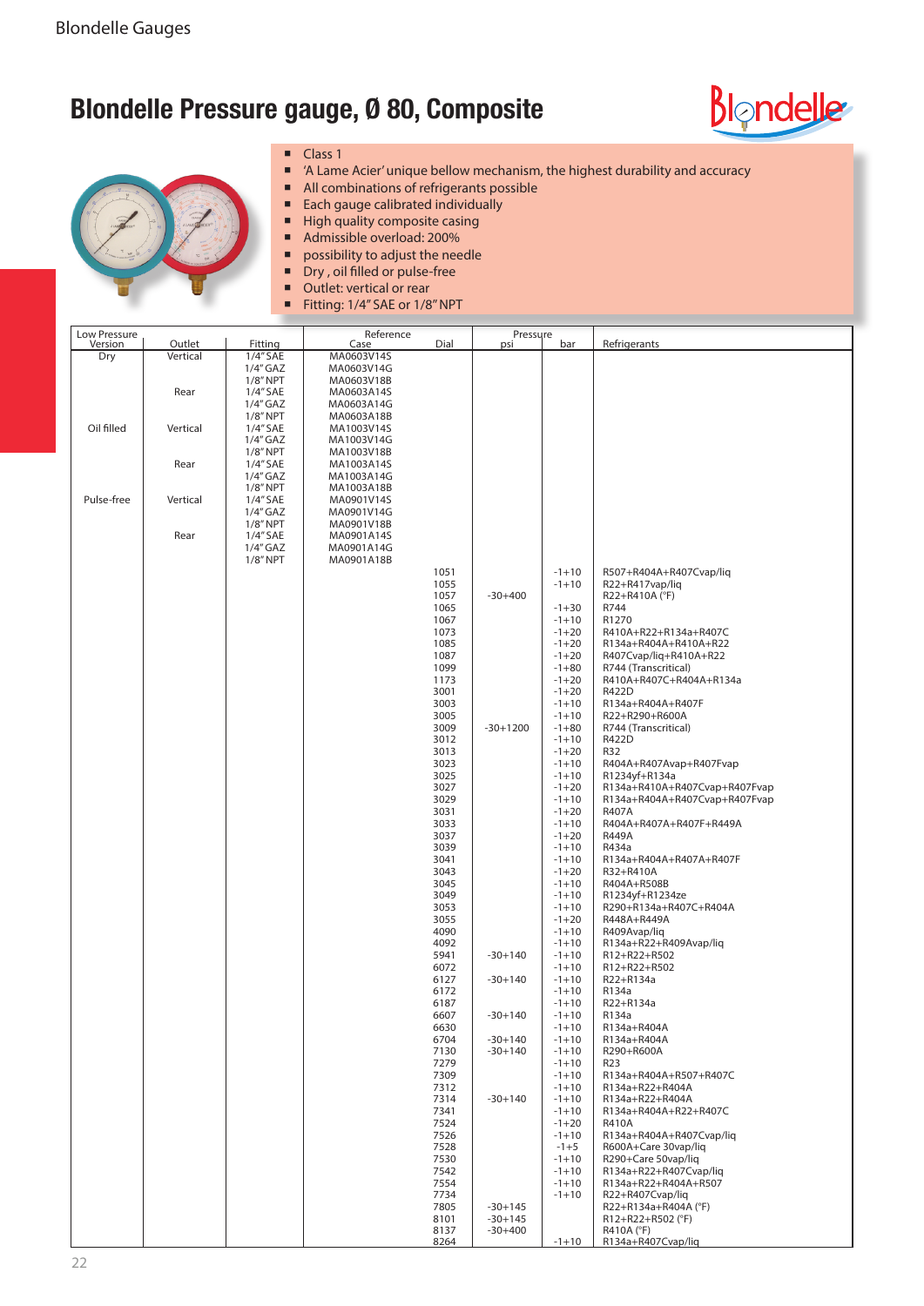## **Blondelle Pressure gauge, Ø 80, Composite**





- **Class 1**
- 'A Lame Acier' unique bellow mechanism, the highest durability and accuracy
- All combinations of refrigerants possible
- Each gauge calibrated individually
- High quality composite casing
- Admissible overload: 200%
- possibility to adjust the needle<br>
Drv, oil filled or pulse-free
- $\blacksquare$  Dry, oil filled or pulse-free
- Outlet: vertical or rear
- Fitting: 1/4" SAE or 1/8" NPT

| Low Pressure |          |                           | Reference                |              | Pressure    |                   |                                             |
|--------------|----------|---------------------------|--------------------------|--------------|-------------|-------------------|---------------------------------------------|
| Version      | Outlet   | Fitting                   | Case                     | Dial         | psi         | bar               | Refrigerants                                |
| Dry          | Vertical | 1/4" SAE                  | MA0603V14S               |              |             |                   |                                             |
|              |          | $1/4$ " GAZ<br>$1/8"$ NPT | MA0603V14G               |              |             |                   |                                             |
|              | Rear     |                           | MA0603V18B               |              |             |                   |                                             |
|              |          | 1/4" SAE<br>$1/4''$ GAZ   | MA0603A14S<br>MA0603A14G |              |             |                   |                                             |
|              |          | $1/8"$ NPT                | MA0603A18B               |              |             |                   |                                             |
| Oil filled   | Vertical | 1/4" SAE                  | MA1003V14S               |              |             |                   |                                             |
|              |          | $1/4$ " GAZ               | MA1003V14G               |              |             |                   |                                             |
|              |          | $1/8"$ NPT                | MA1003V18B               |              |             |                   |                                             |
|              | Rear     | 1/4" SAE                  | MA1003A14S               |              |             |                   |                                             |
|              |          | $1/4$ " GAZ               | MA1003A14G               |              |             |                   |                                             |
|              |          | $1/8"$ NPT                | MA1003A18B               |              |             |                   |                                             |
| Pulse-free   | Vertical | 1/4" SAE                  | MA0901V14S               |              |             |                   |                                             |
|              |          | $1/4$ " GAZ               | MA0901V14G               |              |             |                   |                                             |
|              |          | $1/8"$ NPT                | MA0901V18B               |              |             |                   |                                             |
|              | Rear     | 1/4" SAE                  | MA0901A14S               |              |             |                   |                                             |
|              |          | $1/4$ " GAZ               | MA0901A14G               |              |             |                   |                                             |
|              |          | $1/8"$ NPT                | MA0901A18B               |              |             |                   |                                             |
|              |          |                           |                          | 1051         |             | $-1+10$           | R507+R404A+R407Cvap/liq                     |
|              |          |                           |                          | 1055         |             | $-1+10$           | R22+R417vap/liq                             |
|              |          |                           |                          | 1057         | $-30+400$   |                   | R22+R410A (°F)                              |
|              |          |                           |                          | 1065         |             | $-1+30$           | R744                                        |
|              |          |                           |                          | 1067         |             | $-1+10$           | R1270                                       |
|              |          |                           |                          | 1073         |             | $-1+20$           | R410A+R22+R134a+R407C                       |
|              |          |                           |                          | 1085         |             | $-1+20$           | R134a+R404A+R410A+R22                       |
|              |          |                           |                          | 1087         |             | $-1+20$           | R407Cvap/liq+R410A+R22                      |
|              |          |                           |                          | 1099         |             | $-1+80$           | R744 (Transcritical)                        |
|              |          |                           |                          | 1173         |             | $-1+20$           | R410A+R407C+R404A+R134a                     |
|              |          |                           |                          | 3001         |             | $-1+20$           | R422D                                       |
|              |          |                           |                          | 3003         |             | $-1+10$           | R134a+R404A+R407F                           |
|              |          |                           |                          | 3005         |             | $-1+10$           | R22+R290+R600A                              |
|              |          |                           |                          | 3009         | $-30+1200$  | $-1+80$           | R744 (Transcritical)                        |
|              |          |                           |                          | 3012         |             | $-1+10$           | R422D                                       |
|              |          |                           |                          | 3013         |             | $-1+20$           | R32                                         |
|              |          |                           |                          | 3023         |             | $-1+10$           | R404A+R407Avap+R407Fvap                     |
|              |          |                           |                          | 3025         |             | $-1+10$           | R1234yf+R134a                               |
|              |          |                           |                          | 3027         |             | $-1+20$           | R134a+R410A+R407Cvap+R407Fvap               |
|              |          |                           |                          | 3029         |             | $-1+10$           | R134a+R404A+R407Cvap+R407Fvap               |
|              |          |                           |                          | 3031         |             | $-1+20$           | R407A                                       |
|              |          |                           |                          | 3033         |             | $-1+10$           | R404A+R407A+R407F+R449A                     |
|              |          |                           |                          | 3037         |             | $-1+20$           | <b>R449A</b>                                |
|              |          |                           |                          | 3039         |             | $-1+10$           | R434a                                       |
|              |          |                           |                          | 3041         |             | $-1 + 10$         | R134a+R404A+R407A+R407F                     |
|              |          |                           |                          | 3043         |             | $-1+20$           | R32+R410A                                   |
|              |          |                           |                          | 3045         |             | $-1+10$           | R404A+R508B                                 |
|              |          |                           |                          | 3049         |             | $-1+10$           | R1234yf+R1234ze                             |
|              |          |                           |                          | 3053         |             | $-1+10$           | R290+R134a+R407C+R404A                      |
|              |          |                           |                          | 3055         |             | $-1+20$           | R448A+R449A                                 |
|              |          |                           |                          | 4090         |             | $-1+10$           | R409Avap/liq                                |
|              |          |                           |                          | 4092         |             | $-1+10$           | R134a+R22+R409Avap/liq                      |
|              |          |                           |                          | 5941         | $-30 + 140$ | $-1+10$           | R12+R22+R502                                |
|              |          |                           |                          | 6072         |             | $-1+10$           | R12+R22+R502                                |
|              |          |                           |                          | 6127         | $-30 + 140$ | $-1+10$           | R22+R134a                                   |
|              |          |                           |                          | 6172         |             | $-1+10$           | R134a                                       |
|              |          |                           |                          | 6187         |             | $-1+10$           | R22+R134a                                   |
|              |          |                           |                          | 6607         | $-30+140$   | $-1+10$           | R134a                                       |
|              |          |                           |                          | 6630         |             | $-1+10$           | R134a+R404A                                 |
|              |          |                           |                          | 6704         | $-30+140$   | $-1+10$           | R134a+R404A                                 |
|              |          |                           |                          | 7130         | $-30+140$   | $-1+10$           | R290+R600A                                  |
|              |          |                           |                          | 7279         |             | $-1+10$           | R <sub>23</sub>                             |
|              |          |                           |                          | 7309         |             | $-1+10$           | R134a+R404A+R507+R407C                      |
|              |          |                           |                          | 7312         | $-30+140$   | $-1+10$           | R134a+R22+R404A                             |
|              |          |                           |                          | 7314         |             | $-1+10$           | R134a+R22+R404A                             |
|              |          |                           |                          | 7341         |             | $-1+10$           | R134a+R404A+R22+R407C<br>R410A              |
|              |          |                           |                          | 7524         |             | $-1+20$           |                                             |
|              |          |                           |                          | 7526         |             | $-1+10$<br>$-1+5$ | R134a+R404A+R407Cvap/liq                    |
|              |          |                           |                          | 7528<br>7530 |             | $-1+10$           | R600A+Care 30vap/liq<br>R290+Care 50vap/lig |
|              |          |                           |                          | 7542         |             | $-1+10$           | R134a+R22+R407Cvap/liq                      |
|              |          |                           |                          | 7554         |             | $-1+10$           | R134a+R22+R404A+R507                        |
|              |          |                           |                          | 7734         |             | $-1+10$           | R22+R407Cvap/liq                            |
|              |          |                           |                          | 7805         | $-30+145$   |                   | R22+R134a+R404A (°F)                        |
|              |          |                           |                          | 8101         | $-30+145$   |                   | R12+R22+R502 (°F)                           |
|              |          |                           |                          | 8137         | $-30+400$   |                   | R410A (°F)                                  |
|              |          |                           |                          | 8264         |             | $-1+10$           | R134a+R407Cvap/liq                          |